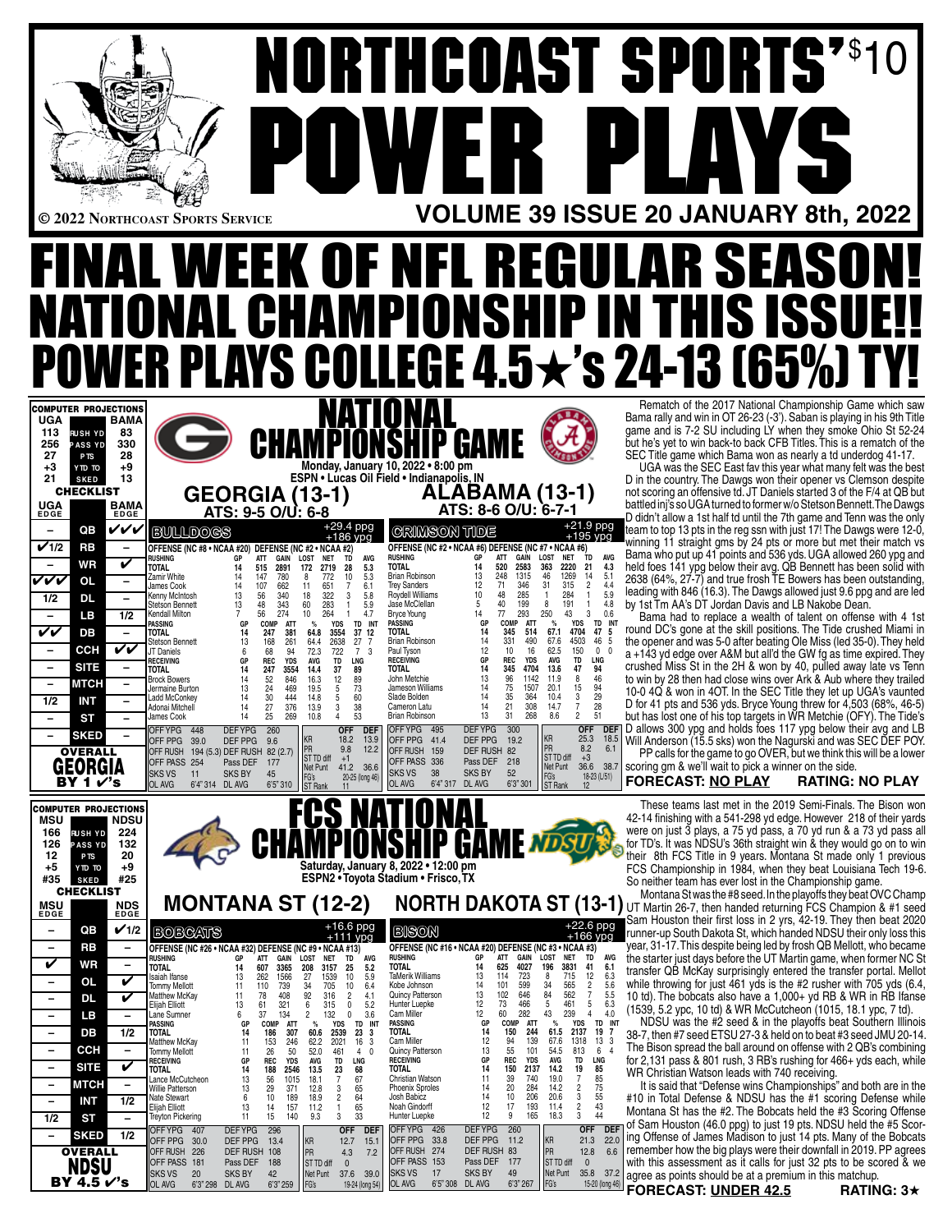|                                                                                                                                                                                                                                                                                               |                                                                                                                                                                                                                                                                                                                   |                                                                                                                                                                                                                                                                                                                                                                                                                                                                                                                     |                                                                                                                                                                                                                                                                                                                                          |                                                                                                                                                                                                                                                                                                                                                                                                            |                                                                                                                                                                                                                                                                                                     | <b>NORTHCOAST SPORTS"S1</b>                                                            |                                                                                                                                                                                                                                                                                                                                                                                                                                                                                                                                                                                                                                                                                                               |
|-----------------------------------------------------------------------------------------------------------------------------------------------------------------------------------------------------------------------------------------------------------------------------------------------|-------------------------------------------------------------------------------------------------------------------------------------------------------------------------------------------------------------------------------------------------------------------------------------------------------------------|---------------------------------------------------------------------------------------------------------------------------------------------------------------------------------------------------------------------------------------------------------------------------------------------------------------------------------------------------------------------------------------------------------------------------------------------------------------------------------------------------------------------|------------------------------------------------------------------------------------------------------------------------------------------------------------------------------------------------------------------------------------------------------------------------------------------------------------------------------------------|------------------------------------------------------------------------------------------------------------------------------------------------------------------------------------------------------------------------------------------------------------------------------------------------------------------------------------------------------------------------------------------------------------|-----------------------------------------------------------------------------------------------------------------------------------------------------------------------------------------------------------------------------------------------------------------------------------------------------|----------------------------------------------------------------------------------------|---------------------------------------------------------------------------------------------------------------------------------------------------------------------------------------------------------------------------------------------------------------------------------------------------------------------------------------------------------------------------------------------------------------------------------------------------------------------------------------------------------------------------------------------------------------------------------------------------------------------------------------------------------------------------------------------------------------|
| © 2022 NORTHCOAST SPORTS SERVICE                                                                                                                                                                                                                                                              |                                                                                                                                                                                                                                                                                                                   | $\bf{P}$                                                                                                                                                                                                                                                                                                                                                                                                                                                                                                            |                                                                                                                                                                                                                                                                                                                                          | WER I                                                                                                                                                                                                                                                                                                                                                                                                      | P                                                                                                                                                                                                                                                                                                   | $\blacksquare$                                                                         | AYS<br><b>VOLUME 39 ISSUE 20 JANUARY 8th, 2022</b>                                                                                                                                                                                                                                                                                                                                                                                                                                                                                                                                                                                                                                                            |
|                                                                                                                                                                                                                                                                                               |                                                                                                                                                                                                                                                                                                                   |                                                                                                                                                                                                                                                                                                                                                                                                                                                                                                                     |                                                                                                                                                                                                                                                                                                                                          |                                                                                                                                                                                                                                                                                                                                                                                                            |                                                                                                                                                                                                                                                                                                     | NAL WEEK OF NFL REGULAR SEASOI                                                         |                                                                                                                                                                                                                                                                                                                                                                                                                                                                                                                                                                                                                                                                                                               |
|                                                                                                                                                                                                                                                                                               |                                                                                                                                                                                                                                                                                                                   |                                                                                                                                                                                                                                                                                                                                                                                                                                                                                                                     |                                                                                                                                                                                                                                                                                                                                          |                                                                                                                                                                                                                                                                                                                                                                                                            |                                                                                                                                                                                                                                                                                                     |                                                                                        | NATIONAL CHAMPIONSHIP IN THIS ISSUE!!                                                                                                                                                                                                                                                                                                                                                                                                                                                                                                                                                                                                                                                                         |
|                                                                                                                                                                                                                                                                                               |                                                                                                                                                                                                                                                                                                                   |                                                                                                                                                                                                                                                                                                                                                                                                                                                                                                                     |                                                                                                                                                                                                                                                                                                                                          |                                                                                                                                                                                                                                                                                                                                                                                                            |                                                                                                                                                                                                                                                                                                     | <b>POWER PLAYS COLLEGE 4.5<math>\star</math>'s 24-13 (65%) 1</b>                       |                                                                                                                                                                                                                                                                                                                                                                                                                                                                                                                                                                                                                                                                                                               |
| <b>COMPUTER PROJECTIONS</b><br><b>UGA</b><br><b>BAMA</b><br>113<br>83<br><b>RUSH YD</b><br>330<br>256<br><b>PASS YD</b><br>27<br>28<br>P <sub>TS</sub><br>$+9$<br>$+3$<br>YTD TO<br>21<br>13<br><b>SKED</b><br><b>CHECKLIST</b><br><b>UGA</b><br>BAMA<br><b>EDGE</b><br><b>EDGE</b>           |                                                                                                                                                                                                                                                                                                                   | <b>CHAMPIONSHIP GAME</b><br><b>GEORGIA (13-1)</b><br>ATS: 9-5 O/U: 6-8                                                                                                                                                                                                                                                                                                                                                                                                                                              | <u>NATIONAL</u><br>Monday, January 10, 2022 . 8:00 pm<br>ESPN · Lucas Oil Field · Indianapolis, IN                                                                                                                                                                                                                                       | ALABAMA (13-1)<br>ATS: 8-6 O/U: 6-7-1                                                                                                                                                                                                                                                                                                                                                                      |                                                                                                                                                                                                                                                                                                     |                                                                                        | Rematch of the 2017 National Championship Game which saw<br>Bama rally and win in OT 26-23 (-3'). Saban is playing in his 9th Title<br>game and is 7-2 SU including LY when they smoke Ohio St 52-24<br>but he's yet to win back-to back CFB Titles. This is a rematch of the<br>SEC Title game which Bama won as nearly a td underdog 41-17.<br>UGA was the SEC East fav this year what many felt was the best<br>D in the country. The Dawgs won their opener vs Clemson despite<br>not scoring an offensive td. JT Daniels started 3 of the F/4 at QB but<br>battled inj's so UGA turned to former w/o Stetson Bennett. The Dawgs<br>D didn't allow a 1st half td until the 7th game and Tenn was the only |
| VVV<br>QB<br>$\overline{\phantom{a}}$<br>$\mathbf{v}$ 1/2<br><b>RB</b><br>$\overline{\phantom{a}}$<br>V<br>WR<br>VVV<br><b>OL</b><br>$\qquad \qquad -$<br>1/2<br>DL<br>LВ<br>1/2<br>$\overline{\phantom{a}}$<br>VV<br>DB<br>$\overline{\phantom{0}}$<br>ссн<br>VV<br>$\overline{\phantom{a}}$ | <b>BULLDOGS</b><br>rushing<br>GP<br><b>TOTAL</b><br>14<br>Zamir White<br>14<br>14<br>James Cook<br>Kenny McIntosh<br>13<br>13<br><b>Stetson Bennett</b><br>Kendall Milton<br>$\overline{7}$<br>PASSING<br>GP<br>14<br><b>TOTAL</b><br>13<br>Stetson Bennett<br>JT Daniels<br>6<br>RECEIVING<br>GP                 | +29.4 ppg<br>$+186$ ypg<br>OFFENSE (NC #8 • NCAA #20) DEFENSE (NC #2 • NCAA #2)<br>GAIN LOST NET<br>ATT<br>TD<br>515<br>2891<br>172 2719 28<br>780<br>10<br>147<br>772<br>8<br>107<br>662<br>651<br>7<br>-11<br>322<br>56<br>340<br>18<br>3<br>283<br>48<br>343<br>60<br>56<br>274<br>10 <sup>10</sup><br>264<br>COMP<br><b>ATT</b><br><b>YDS</b><br>$\%$<br>247<br>381<br>64.8<br>3554<br>168<br>261<br>2638<br>27<br>64.4<br>68<br>94<br>72.3<br>722<br>73<br><b>REC</b><br><b>YDS</b><br><b>AVG</b><br>LNG<br>TD | <b>GRIMSON TIDE</b><br><b>RUSHING</b><br>AVG<br><b>TOTAL</b><br>5.3<br><b>Brian Robinson</b><br>5.3<br>Trey Sanders<br>6.1<br><b>Roydell Williams</b><br>5.8<br>Jase McClellan<br>5.9<br><b>Bryce Young</b><br>4.7<br><b>PASSING</b><br>TD INT<br><b>TOTAL</b><br>37,12<br><b>Brian Robinson</b><br>-7<br>Paul Tyson<br><b>RECEIVING</b> | OFFENSE (NC #2 • NCAA #6) DEFENSE (NC #7 • NCAA #6)<br>GP<br>ATT<br><b>GAIN LOST</b><br>2583<br>520<br>14<br>363<br>248<br>1315<br>13<br>46<br>346<br>12<br>71<br>31<br>285<br>10<br>48<br>-1<br>199<br>40<br>8<br>5<br>293<br>77<br>250<br>14<br>COMP<br>ATT<br>GP<br>%<br>345<br>14<br>514<br>67.1<br>14<br>331<br>490<br>67.6<br>12<br>10<br>16<br>62.5<br><b>REC</b><br><b>YDS</b><br><b>AVG</b><br>GP | $+21.9$ ppg<br>$+195$ ypg<br>ŤD<br><b>AVG</b><br><b>NET</b><br>2220<br>21<br>4.3<br>1269<br>14<br>5.1<br>315<br>$\overline{2}$<br>4.4<br>5.9<br>284<br>191<br>4.8<br>$\overline{1}$<br>43<br>3<br>0.6<br><b>YDS</b><br>TD INT<br>4704<br>47<br>4503<br>46<br>150<br>$\mathbf 0$<br><b>TD</b><br>LNG | by 1st Tm AA's DT Jordan Davis and LB Nakobe Dean.                                     | team to top 13 pts in the reg ssn with just 17! The Dawgs were 12-0,<br>winning 11 straight gms by 24 pts or more but met their match vs<br>Bama who put up 41 points and 536 yds. UGA allowed 260 ypg and<br>held foes 141 ypg below their avg. QB Bennett has been solid with<br>2638 (64%, 27-7) and true frosh TE Bowers has been outstanding,<br>leading with 846 (16.3). The Dawgs allowed just 9.6 ppg and are led<br>Bama had to replace a wealth of talent on offense with 4 1st<br>round DC's gone at the skill positions. The Tide crushed Miami in<br>the opener and was 5-0 after beating Ole Miss (led 35-0). They held<br>a +143 yd edge over A&M but all'd the GW fg as time expired. They    |
| <b>SITE</b><br>$\overline{\phantom{m}}$<br><b>MTCH</b><br>$\overline{\phantom{a}}$<br>1/2<br>INT<br>ST<br><b>SKED</b><br><b>OVERALL</b><br>GEORGIA<br>BY 1 V's                                                                                                                                | <b>TOTAL</b><br>14<br><b>Brock Bowers</b><br>14<br>13<br>Jermaine Burton<br>Ladd McConkey<br>14<br>Adonai Mitchell<br>14<br>14<br>James Cook<br>UFF YPG.<br>- 448<br>OFF PPG<br>39.0<br>OFF RUSH 194 (5.3) DEF RUSH 82 (2.7)<br>OFF PASS 254<br><b>SKS VS</b><br><b>SKS BY</b><br>11<br>OL AVG<br>6'4" 314 DL AVG | 247<br>3554<br>14.4<br>37<br>89<br>52<br>846<br>12<br>89<br>16.3<br>24<br>469<br>19.5<br>5<br>73<br>30<br>444<br>14.8<br>60<br>5<br>27<br>376<br>13.9<br>3<br>38<br>25<br>269<br>10.8<br>$\overline{4}$<br>53<br>DEF YPG 260<br>UFF -<br>ΚR<br>18.2<br>DEF PPG 9.6<br>PR<br>9.8<br>ST TD diff<br>$+1$<br>Pass DEF 177<br>41.2 36.6<br>Net Punt<br>45<br>FG's<br>20-25 (long 46)<br>6'5''310<br>ST Rank<br>11                                                                                                        | <b>TOTAL</b><br>John Metchie<br>Jameson Williams<br>Slade Bolden<br>Cameron Latu<br><b>Brian Robinson</b><br>DEI<br>10ט- 10ט-14<br>OFF PPG 41.4<br>13.9<br>12.2<br>OFF RUSH 159<br>OFF PASS 336<br>SKS VS<br>38<br>OL AVG<br>6'4" 317 DL AVG                                                                                             | 345<br>14<br>4704<br>13.6<br>96<br>13<br>1142<br>11.9<br>75<br>14<br>1507<br>20.1<br>35<br>10.4<br>14<br>364<br>21<br>308<br>14.7<br>14<br>13<br>268<br>31<br>8.6<br><b>DEFYPG</b><br>300<br>KR<br>PR<br>DEF PPG<br>19.2<br>DEF RUSH 82<br><b>STTD diff</b><br>Pass DEF 218<br>Net Punt<br><b>SKS BY</b><br>52<br>FG's<br>6'3" 301<br><b>ST Rank</b>                                                       | 47<br>94<br>46<br>8<br>15<br>94<br>$\frac{29}{28}$<br>3<br>$\overline{7}$<br>51<br>$\overline{2}$<br><b>OFF</b><br>25.3<br>18.5<br>8.2<br>6.1<br>$+3$<br>36.6 38.7<br>$18-23$ (L/51)                                                                                                                | scoring gm & we'll wait to pick a winner on the side.<br><b>FORECAST: NO PLAY</b>      | crushed Miss St in the 2H & won by 40, pulled away late vs Tenn<br>to win by 28 then had close wins over Ark & Aub where they trailed<br>10-0 4Q & won in 4OT. In the SEC Title they let up UGA's vaunted<br>D for 41 pts and 536 yds. Bryce Young threw for 4,503 (68%, 46-5)<br>but has lost one of his top targets in WR Metchie (OFY). The Tide's<br>DEF D allows 300 ypg and holds foes 117 ypg below their avg and LB<br>Will Anderson (15.5 sks) won the Nagurski and was SEC DEF POY.<br>PP calls for the game to go OVER, but we think this will be a lower<br><b>RATING: NO PLAY</b>                                                                                                                |
| <b>COMPUTER PROJECTIONS</b><br>MSU<br><b>NDSU</b><br>166<br>224<br><b>RUSH YD</b><br>126<br>132<br><b>PASS YD</b><br>12<br>20<br>P <sub>TS</sub><br>+5<br>+9<br>YTD TO<br>#25<br>#35<br><b>SKED</b>                                                                                           |                                                                                                                                                                                                                                                                                                                   |                                                                                                                                                                                                                                                                                                                                                                                                                                                                                                                     | <b>FCS NATIONAL<br/>AMPIONSHIP GAME</b><br>Saturday, January 8, 2022 . 12:00 pm<br>ESPN2 • Toyota Stadium • Frisco, TX                                                                                                                                                                                                                   |                                                                                                                                                                                                                                                                                                                                                                                                            |                                                                                                                                                                                                                                                                                                     | So neither team has ever lost in the Championship game.                                | These teams last met in the 2019 Semi-Finals. The Bison won<br>42-14 finishing with a 541-298 yd edge. However 218 of their yards<br>were on just 3 plays, a 75 yd pass, a 70 yd run & a 73 yd pass all<br>for TD's. It was NDSU's 36th straight win & they would go on to win<br>their 8th FCS Title in 9 years. Montana St made only 1 previous<br>FCS Championship in 1984, when they beat Louisiana Tech 19-6.                                                                                                                                                                                                                                                                                            |
| <b>CHECKLIST</b><br><b>MSU</b><br>EDGE<br><b>NDS</b><br>EDGE<br>$V$ 1/2<br>QB<br>$\overline{\phantom{a}}$                                                                                                                                                                                     | <b>BOBCATS</b>                                                                                                                                                                                                                                                                                                    | <b>MONTANA ST (12-2)</b><br>$+16.6$ ppg<br>$+111$ ypg                                                                                                                                                                                                                                                                                                                                                                                                                                                               | <b>BISON</b>                                                                                                                                                                                                                                                                                                                             |                                                                                                                                                                                                                                                                                                                                                                                                            | +22.6 ppg<br>+166 ypg                                                                                                                                                                                                                                                                               |                                                                                        | Montana St was the #8 seed. In the playoffs they beat OVC Champ<br><b>NORTH DAKOTA ST (13-1)</b> UT Martin 26-7, then handed returning FCS Champion & #1 seed<br>Sam Houston their first loss in 2 yrs, 42-19. They then beat 2020<br>runner-up South Dakota St, which handed NDSU their only loss this                                                                                                                                                                                                                                                                                                                                                                                                       |
| <b>RB</b><br>$\qquad \qquad$<br>$\overline{\phantom{m}}$<br>V<br>WR<br>$\qquad \qquad -$<br>V<br><b>OL</b><br>$\overline{\phantom{0}}$<br>V<br>DL<br>$\overline{\phantom{a}}$<br>LВ<br>$\overline{\phantom{a}}$<br>$\overline{\phantom{0}}$<br>1/2<br>DB<br>$\overline{\phantom{m}}$          | <b>RUSHING</b><br>GP<br>TOTAL<br>14<br>13<br>Isaiah Ifanse<br><b>Tommy Mellott</b><br>11<br>Matthew McKay<br>11<br>13<br>Elijah Elliott<br>Lane Sumner<br>6<br>GP<br>PASSING<br>TOTAL<br>14                                                                                                                       | OFFENSE (NC #26 . NCAA #32) DEFENSE (NC #9 . NCAA #13)<br>TD<br><b>ATT</b><br>GAIN<br>LOST<br><b>NET</b><br>607<br>3365<br>208<br>25<br>3157<br>262<br>1566<br>27<br>1539<br>10<br>110<br>739<br>34<br>705<br>10<br>78<br>408<br>92<br>316<br>$\overline{2}$<br>61<br>321<br>315<br>0<br>6<br>37<br>134<br>132<br>$\mathbf 0$<br>2<br>COMP<br>ATT<br><b>YDS</b><br>%<br>186<br>307<br>2539<br>60.6<br>23                                                                                                            | <b>RUSHING</b><br>AVG<br><b>TOTAL</b><br>5.2<br>TaMerik Williams<br>5.9<br>6.4<br>Kobe Johnson<br>Quincy Patterson<br>4.1<br>Hunter Luepke<br>5.2<br>Cam Miller<br>3.6<br>TD INT<br>PASSING<br><b>TOTAL</b><br>3                                                                                                                         | OFFENSE (NC #16 • NCAA #20) DEFENSE (NC #3 • NCAA #3)<br>LOST<br>GP<br>ATT<br>GAIN<br>4027<br>625<br>196<br>14<br>723<br>13<br>114<br>8<br>599<br>34<br>14<br>101<br>84<br>13<br>102<br>646<br>12<br>73<br>466<br>5<br>12<br>282<br>43<br>60<br><b>COMP</b><br>$\%$<br>GP<br>ATT<br>150<br>14<br>244<br>61.5                                                                                               | <b>NET</b><br>TD<br><b>AVG</b><br>6.1<br>3831<br>41<br>6.3<br>715<br>12<br>$\frac{2}{7}$<br>$\frac{5.6}{5.5}$<br>565<br>562<br>$\,$ 5 $\,$<br>6.3<br>461<br>239<br>$\overline{4}$<br>4.0<br>YDS<br>TD INT<br>2137<br>19 <sub>7</sub>                                                                |                                                                                        | year, 31-17. This despite being led by frosh QB Mellott, who became<br>the starter just days before the UT Martin game, when former NC St<br>transfer QB McKay surprisingly entered the transfer portal. Mellot<br>while throwing for just 461 yds is the #2 rusher with 705 yds (6.4)<br>10 td). The bobcats also have a 1,000+ yd RB & WR in RB Ifanse<br>(1539, 5.2 ypc, 10 td) & WR McCutcheon (1015, 18.1 ypc, 7 td).<br>NDSU was the #2 seed & in the playoffs beat Southern Illinois<br>38-7, then #7 seed ETSU 27-3 & held on to beat #3 seed JMU 20-14.                                                                                                                                              |
| <b>CCH</b><br>$\qquad \qquad -$<br>V<br><b>SITE</b><br>$\overline{\phantom{0}}$<br>МТСН<br>$\overline{\phantom{0}}$<br>1/2<br><b>INT</b><br>$\overline{\phantom{a}}$<br>1/2<br>ST<br>$\overline{\phantom{0}}$                                                                                 | Matthew McKay<br>11<br>11<br>Tommy Mellott<br>RECEIVING<br>GP<br>14<br>TOTAL<br>13<br>Lance McCutcheon<br>13<br>Willie Patterson<br>Nate Stewart<br>6<br>Elijah Elliott<br>13<br>11<br>Treyton Pickering                                                                                                          | $\frac{153}{26}$<br>246<br>62.2<br>2021<br>16<br>50<br>52.0<br>461<br>REC<br><b>YDS</b><br>AVG<br>TD<br>LNG<br>2546<br>188<br>13.5<br>23<br>68<br>67<br>56<br>1015<br>18.1<br>7<br>$65$<br>$64$<br>29<br>371<br>12.8<br>3<br>189<br>10<br>18.9<br>2<br>$65$<br>$33$<br>157<br>14<br>11.2<br>1<br>140<br>15<br>9.3<br>3                                                                                                                                                                                              | Cam Miller<br>3<br><b>Quincy Patterson</b><br>4 0<br><b>RECEIVING</b><br>TOTAL<br>Christian Watson<br><b>Phoenix Sproles</b><br>Josh Babicz<br>Noah Gindorff<br>Hunter Luepke                                                                                                                                                            | 12<br>94<br>139<br>67.6<br>13<br>55<br>54.5<br>101<br>GP<br>REC<br><b>YDS</b><br>AVG<br>150<br>2137<br>14<br>14.2<br>39<br>740<br>19.0<br>11<br>20<br>284<br>14.2<br>14<br>10<br>14<br>206<br>20.6<br>12<br>17<br>193<br>11.4<br>12<br>165<br>9<br>18.3                                                                                                                                                    | 1318<br>13 <sub>3</sub><br>813<br>6<br>$\overline{4}$<br>TD<br>LNG<br>19<br>85<br>85<br>$\overline{7}$<br>$\overline{c}$<br>75<br>3<br>55<br>$\sqrt{2}$<br>43<br>3<br>44<br><b>OFF</b><br><b>DEF</b>                                                                                                | WR Christian Watson leads with 740 receiving.                                          | The Bison spread the ball around on offense with 2 QB's combining<br>for 2,131 pass & 801 rush, 3 RB's rushing for 466+ yds each, while<br>It is said that "Defense wins Championships" and both are in the<br>#10 in Total Defense & NDSU has the #1 scoring Defense while<br>Montana St has the #2. The Bobcats held the #3 Scoring Offense<br>of Sam Houston (46.0 ppg) to just 19 pts. NDSU held the #5 Scor-                                                                                                                                                                                                                                                                                             |
| 1/2<br><b>SKED</b><br>$\overline{\phantom{0}}$<br><b>OVERALL</b><br>NDSU<br>BY 4.5 $\checkmark$ 's                                                                                                                                                                                            | <b>DEFYPG</b><br>OFF YPG 407<br>DEF PPG<br>OFF PPG 30.0<br>OFF RUSH 226<br>OFF PASS 181<br><b>SKS BY</b><br><b>SKS VS</b><br>20<br>OL AVG<br>6'3" 298 DL AVG                                                                                                                                                      | 296<br>OFF DEF<br>KR<br>12.7<br>13.4<br>DEF RUSH 108<br>PR<br>4.3<br>Pass DEF 188<br>ST TD diff<br>$\overline{\phantom{0}}$<br>42<br>Net Punt<br>37.6 39.0<br>6'3" 259<br>FG's<br>19-24 (long 54)                                                                                                                                                                                                                                                                                                                   | OFFYPG 426<br>OFF PPG 33.8<br>15.1<br>OFF RUSH 274<br>7.2<br>OFF PASS 153<br><b>SKS VS</b><br>17<br>OL AVG<br>6'5" 308 DL AVG                                                                                                                                                                                                            | <b>DEFYPG</b><br>260<br>DEF PPG<br>11.2<br>KR<br>PR<br>DEF RUSH 83<br>ST TD diff<br>Pass DEF 177<br>SKS BY<br>Net Punt<br>49<br>6'3" 267<br>FG's                                                                                                                                                                                                                                                           | 22.0<br>21.3<br>6.6<br>12.8<br>$\overline{\phantom{0}}$<br>35.8 37.2<br>15-20 (long 46)                                                                                                                                                                                                             | agree as points should be at a premium in this matchup.<br><b>CODECACT. UNDER 40 F</b> | ing Offense of James Madison to just 14 pts. Many of the Bobcats<br>remember how the big plays were their downfall in 2019. PP agrees<br>with this assessment as it calls for just 32 pts to be scored & we                                                                                                                                                                                                                                                                                                                                                                                                                                                                                                   |

ing Offense of James Madison to just 14 pts. Many of the Bobcats remember how the big plays were their downfall in 2019. PP agrees with this assessment as it calls for just 32 pts to be scored & we agree as points should be at a premium in this matchup.<br>**FORECAST:** UNDER 42.5 **RATING:**  $3\star$ 

**FORECAST: UNDER 42.5**